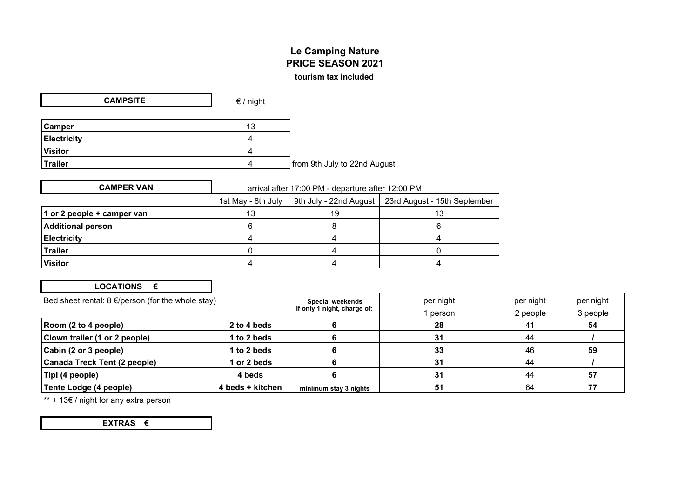## **Le Camping Nature PRICE SEASON 2021 tourism tax included**

| <b>CAMPSITE</b>    | $\epsilon$ / night |                              |
|--------------------|--------------------|------------------------------|
|                    |                    |                              |
| <b>Camper</b>      | 13                 |                              |
| <b>Electricity</b> |                    |                              |
| <b>Visitor</b>     |                    |                              |
| <b>Trailer</b>     |                    | from 9th July to 22nd August |

| <b>CAMPER VAN</b>          | arrival after 17:00 PM - departure after 12:00 PM |    |                                                       |
|----------------------------|---------------------------------------------------|----|-------------------------------------------------------|
|                            | 1st May - 8th July                                |    | 9th July - 22nd August   23rd August - 15th September |
| 1 or 2 people + camper van | 13                                                | 19 | 13                                                    |
| Additional person          |                                                   |    |                                                       |
| <b>Electricity</b>         |                                                   |    |                                                       |
| <b>Trailer</b>             |                                                   |    |                                                       |
| <b>Visitor</b>             |                                                   |    |                                                       |

## **LOCATIONS €**

| Bed sheet rental: $8 \in$ /person (for the whole stay) |                  | Special weekends            | per night | per night | per night |
|--------------------------------------------------------|------------------|-----------------------------|-----------|-----------|-----------|
|                                                        |                  | If only 1 night, charge of: | person    | 2 people  | 3 people  |
| $ $ Room (2 to 4 people)                               | 2 to 4 beds      |                             | 28        | 41        | 54        |
| Clown trailer (1 or 2 people)                          | 1 to 2 beds      |                             | 31        | 44        |           |
| Cabin (2 or 3 people)                                  | 1 to 2 beds      |                             | 33        | 46        | 59        |
| Canada Treck Tent (2 people)                           | 1 or 2 beds      |                             | 31        | 44        |           |
| Tipi (4 people)                                        | 4 beds           |                             | 31        | 44        | 57        |
| Tente Lodge (4 people)                                 | 4 beds + kitchen | minimum stay 3 nights       | 51        | 64        |           |

\*\* + 13€ / night for any extra person

**EXTRAS €**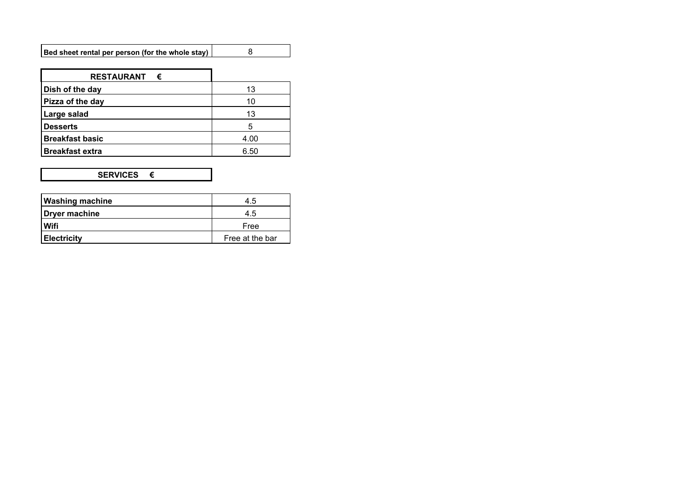| <b>RESTAURANT</b><br>€ |      |
|------------------------|------|
| Dish of the day        | 13   |
| Pizza of the day       | 10   |
| Large salad            | 13   |
| <b>Desserts</b>        | 5    |
| <b>Breakfast basic</b> | 4.00 |
| <b>Breakfast extra</b> | 6.50 |

## **SERVICES €**

| <b>Washing machine</b> | 4.5             |
|------------------------|-----------------|
| Dryer machine          | 4.5             |
| Wifi                   | Free            |
| <b>Electricity</b>     | Free at the bar |